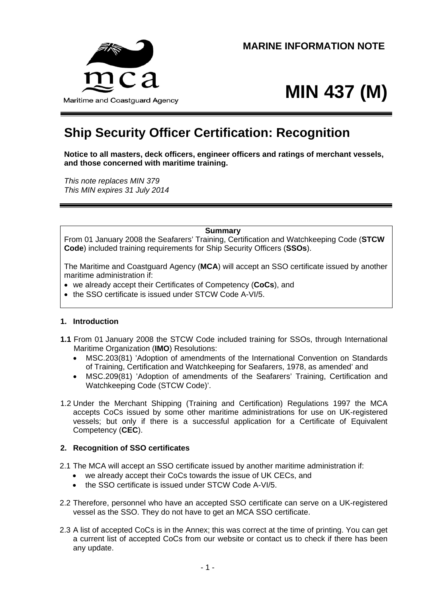

# **MIN 437 (M)**

# **Ship Security Officer Certification: Recognition**

**Notice to all masters, deck officers, engineer officers and ratings of merchant vessels, and those concerned with maritime training.** 

*This note replaces MIN 379 This MIN expires 31 July 2014* 

#### **Summary**

From 01 January 2008 the Seafarers' Training, Certification and Watchkeeping Code (**STCW Code**) included training requirements for Ship Security Officers (**SSOs**).

The Maritime and Coastguard Agency (**MCA**) will accept an SSO certificate issued by another maritime administration if:

- we already accept their Certificates of Competency (**CoCs**), and
- the SSO certificate is issued under STCW Code A-VI/5.

#### **1. Introduction**

- **1.1** From 01 January 2008 the STCW Code included training for SSOs, through International Maritime Organization (**IMO**) Resolutions:
	- MSC.203(81) 'Adoption of amendments of the International Convention on Standards of Training, Certification and Watchkeeping for Seafarers, 1978, as amended' and
	- MSC.209(81) 'Adoption of amendments of the Seafarers' Training, Certification and Watchkeeping Code (STCW Code)'.
- 1.2 Under the Merchant Shipping (Training and Certification) Regulations 1997 the MCA accepts CoCs issued by some other maritime administrations for use on UK-registered vessels; but only if there is a successful application for a Certificate of Equivalent Competency (**CEC**).

#### **2. Recognition of SSO certificates**

- 2.1 The MCA will accept an SSO certificate issued by another maritime administration if:
	- we already accept their CoCs towards the issue of UK CECs, and
	- the SSO certificate is issued under STCW Code A-VI/5.
- 2.2 Therefore, personnel who have an accepted SSO certificate can serve on a UK-registered vessel as the SSO. They do not have to get an MCA SSO certificate.
- 2.3 A list of accepted CoCs is in the Annex; this was correct at the time of printing. You can get a current list of accepted CoCs from our website or contact us to check if there has been any update.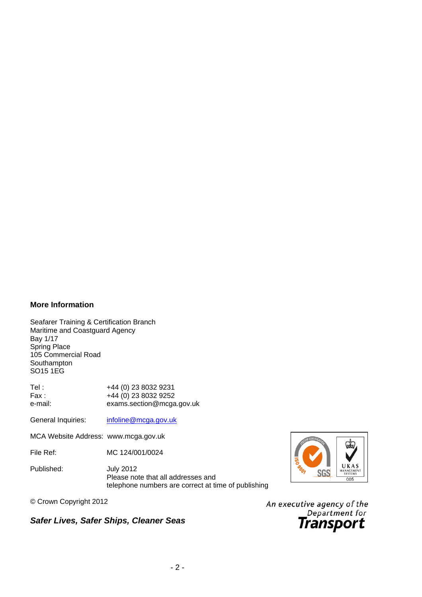#### **More Information**

Seafarer Training & Certification Branch Maritime and Coastguard Agency Bay 1/17 Spring Place 105 Commercial Road Southampton SO15 1EG

Tel : +44 (0) 23 8032 9231 Fax : +44 (0) 23 8032 9252 e-mail: exams.section@mcga.gov.uk

General Inquiries: [infoline@mcga.gov.uk](mailto:infoline@mcga.gov.uk)

MCA Website Address: www.mcga.gov.uk

File Ref: MC 124/001/0024

Published: July 2012 Please note that all addresses and telephone numbers are correct at time of publishing





An executive agency of the Department for

## *Safer Lives, Safer Ships, Cleaner Seas*